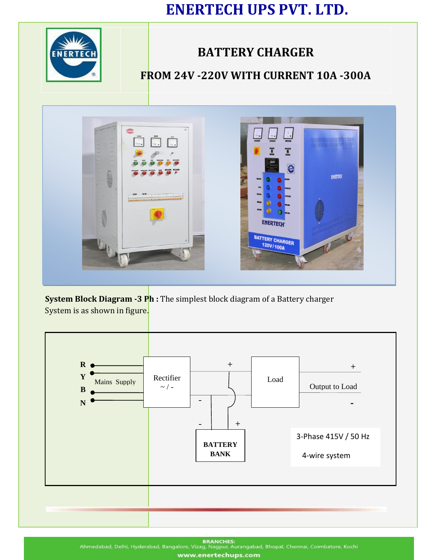# **ENERTECH UPS PVT. LTD.**



## **BATTERY CHARGER**

## **FROM 24V -220V WITH CURRENT 10A -300A**



**System Block Diagram -3 Ph :** The simplest block diagram of a Battery charger System is as shown in figure.



**BRANCHES:** Ahmedabad, Delhi, Hyderabad, Bangalore, Vizag, Nagpur, Aurangabad, Bhopal, Chennai, Coimbatore, Kochi www.enertechups.com